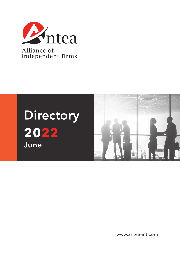



www.antea-int.com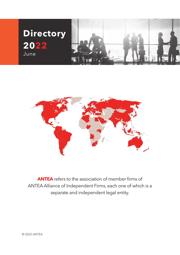



**ANTEA** refers to the association of member firms of ANTEA Alliance of Independent Firms, each one of which is a separate and independent legal entity.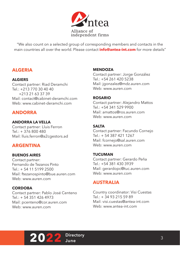

"We also count on a selected group of corresponding members and contacts in the main countries all over the world. Please contact **info@antea-int.com** for more details"

# **ALGERIA**

## **ALGIERS**

Contact partner: Riad Deramchi Tel.: +213 770 30 40 40 +213 21 63 37 39 Mail: contact@cabinet-deramchi.com Web: www.cabinet-deramchi.com

# **ANDORRA**

## **ANDORRA LA VELLA**

Contact partner: Lluis Ferron Tel.: + 376 800 480 Mail: lluis.ferron@a2cgestors.ad

## **ARGENTINA**

## **BUENOS AIRES**

Contact partner: Fernando de Tezanos Pinto  $Tel: + 54 11 5199 2500$ Mail: ftezanospinto@bue.auren.com Web: www.auren.com

## **CORDOBA**

Contact partner: Pablo José Centeno  $Tel \cdot + 543514264973$ Mail: pcenteno@cor.auren.com Web: www.auren.com

### **MENDOZA**

Contact partner: Jorge González Tel.: +54 261 420 5238 Mail: jgonzalez@mdz.auren.com Web: www.auren.com

### **ROSARIO**

Contact partner: Alejandro Mattos  $Tel: +54.341.529.9900$ Mail: amattos@ros.auren.com Web: www.auren.com

## **SALTA**

Contact partner: Facundo Cornejo Tel.: + 54 387 421 1267 Mail: fcornejo@sal.auren.com Web: www.auren.com

## **TUCUMAN**

Contact partner: Gerardo Peña Tel.: +54 381 430 3939 Mail: gerardopc@tuc.auren.com Web: www.auren.com

# **AUSTRALIA**

Country coordinator: Visi Cuestas Tel.: + 34 93 215 59 89 Mail: visi.cuestas@antea-int.com Web: www.antea-int.com

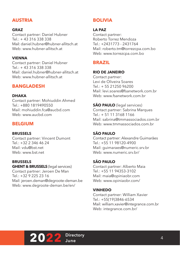# **AUSTRIA**

## **GRAZ**

Contact partner: Daniel Hubner  $T = 43316338338$ Mail: daniel.hubner@hubner-allitsch.at Web: www.hubner-allitsch.at

## **VIENNA**

Contact partner: Daniel Hubner Tel.: + 43 316 338 338 Mail: daniel.hubner@hubner-allitsch.at Web: www.hubner-allitsch.at

# **BANGLADESH**

## **DHAKA**

Contact partner: Mohiuddin Ahmed Tel.: +880 1819490550 Mail: mohiuddin.fca@aucbd.com Web: www.auchd.com

# **BELGIUM**

**BRUSSELS** Contact partner: Vincent Dumont  $Tel: +32.2.3464624$ Mail: vdu@bst.net Web: www.bst.net

#### **BRUSSELS**

**GHENT & BRUSSELS** (legal services) Contact partner: Jeroen De Man  $Tel: +3299252316$ Mail: jeroen.deman@degroote-deman.be Web: www.degroote-deman.be/en/

# **BOLIVIA**

### **LA PAZ**

Contact partner: Roberto Torrez Mendoza Tel.: +2431773 - 2431764 Mail: roberto.tm@torrezcpa.com.bo Web: www.torrezcpa.com.bo

## **BRAZIL**

### **RIO DE JANEIRO**

Contact partner: Levi de Oliveira Soares  $Tel \cdot + 55$  21250 96200 Mail: levi.soares@fsanetwork.com.br Web: www.fsanetwork.com.br

**SÃO PAULO** (legal services) Contact partner: Sabrina Marques  $Tel \cdot + 51 11 3168 1166$ Mail: sabrina@tmmassociados.com.br Web: www.tmmassociados.com.br

## **SÃO PAULO**

Contact partner: Alexandre Guimarães  $Tel \cdot +55$  11 98120-4900 Mail: guimaraes@numeric.srv.br Web: www.numeric.srv.br/

## **SÃO PAULO**

Contact partner: Alberto Maia Tel.: +55 11 94353-3102 Mail: maia@opiniaobr.com Web: www.opiniaobr.com/

## **VINHEDO**

Contact partner: William Xavier Tel.: +55(19)3846-6534 Mail: william.xavier@integrance.com.br Web: integrance.com.br/

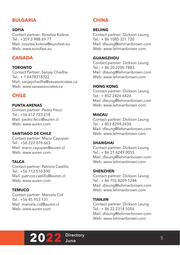# **BULGARIA**

#### **SOFIA**

Contact partner: Rossitza Koleva  $Tel: +35929886977$ Mail: rossitza.koleva@eurofast.eu Web: www.eurofast.eu

## **CANADA**

#### **TORONTO**

Contact Partner: Sanjay Chadha Tel.: + 1 6478318322 Mail: sanjaychadha@savassociates.ca Web: www.savaassociates.ca

## **CHILE**

#### **PUNTA ARENAS**

Contact partner: Pedro Fecci  $Tel: +56612723218$ Mail: pedro.fecci@auren.cl Web: www.auren.com

#### **SANTIAGO DE CHILE**

Contact partner: Mario Cayupan  $Tel: +56.222.078.663$ Mail: mario.cayupan@auren.cl Web: www.auren.com

#### **TALCA**

Contact partner: Patricio Castillo  $Tel: +56 712 510 590$ Mail: patricio.castillo@auren.cl Web: www.auren.com

#### **TEMUCO**

Contact partner: Marcela Cid Tel.: +56 45 953 131 Mail: marcela cid@auren.cl Web: www.auren.com

## **CHINA**

#### **BEIJING**

Contact partner: Dickson Leung Tel.: + 86 1085 321 720 Mail: dleung@lehmanbrown.com Web: www.lehmanbrown.com

#### **GUANGZHOU**

Contact partner: Dickson Leung Tel.: + 86 20 2205 7883 Mail: dleung@lehmanbrown.com Web: www.lehmanbrown.com

#### **HONG KONG**

Contact partner: Dickson Leung Tel.: + 852 2426 6426 Mail: dleung@lehmanbrown.com Web: www.lehmanbrown.com

#### **MACAU**

Contact partner: Dickson Leung Tel.: + 853 8294 2434 Mail: dleung@lehmanbrown.com Web: www.lehmanbrown.com

#### **SHANGHAI**

Contact partner: Dickson Leung Tel.: + 86 21 6249 0055 Mail: dleung@lehmanbrown.com Web: www.lehmanbrown.com

#### **SHENZHEN**

Contact partner: Dickson Leung Tel.: + 86 755 8209 1244 Mail: dleung@lehmanbrown.com Web: www.lehmanbrown.com

#### **TIANJIN**

Contact partner: Dickson Leung Tel.: + 86 22 2318 5056 Mail: dleung@lehmanbrown.com Web: www.lehmanbrown.com

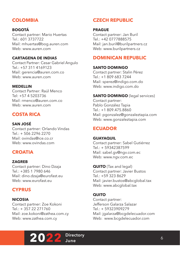# **COLOMBIA**

## **BOGOTÁ**

Contact partner: Mario Huertas Tel.: 601 3737722 Mail: mhuertas@bog.auren.com Web: www.auren.com

### **CARTAGENA DE INDIAS**

Contact Partner: Cesar Gabriel Angulo Tel.: +57 311 4169123 Mail: gerencia@auren.com.co Web: www.auren.com

### **MEDELLIN**

Contact Partner: Raúl Menco Tel: +57 4 5203736 Mail: rmenco@auren.com.co Web: www.auren.com

# **COSTA RICA**

## **SAN JOSÉ**

Contact partner: Orlando Vindas  $Tel + 506 2296 2270$ Mail: ovindas@ice.co.cr Web: www.ovindas.com

# **CROATIA**

## **ZAGREB**

Contact partner: Dino Dzaja  $Tel: +385 1 7980 646$ Mail: dino.dzaja@eurofast.eu Web: www.eurofast.eu

# **CYPRUS**

## **NICOSIA**

Contact partner: Zoe Kokoni Tel.: + 357 22 271760 Mail: zoe.kokoni@zathea.com.cy Web: www.zathea.com.cy

# **CZECH REPUBLIC**

#### **PRAGUE**

Contact partner: Jan Buril Tel.: +42 0777888575 Mail: jan.buril@burilpartners.cz Web: www.burilpartners.cz

## **DOMINICAN REPUBLIC**

#### **SANTO DOMINGO**

Contact partner: Stalin Pérez Tel.: +1 809 683 7244 Mail: sperez@indigo.com.do Web: www.indigo.com.do

**SANTO DOMINGO** (legal services) Contact partner: Pablo González Tapia Tel.: +1 809.475.8860 Mail: pgonzalez@gonzaleztapia.com Web: www.gonzaleztapia.com

# **ECUADOR**

#### **GUAYAQUIL** Contact partner: Sabel Gutiérrez  $Tel \cdot + 59342387599$ Mail: sabel.gv@ngv.com.ec Web: www.ngv.com.ec

**QUITO** (Tax and legal) Contact partner: Javier Bustos  $Tel + 59 323 8629$ Mail: javier.bustos@abcglobal.tax Web: www.abcglobal.tax

#### **QUITO**

Contact partner: Jefferson Galarza Salazar Tel.: + 59323909279 Mail: jgalarza@bcgdelecuador.com Web: www.bcgdelecuador.com

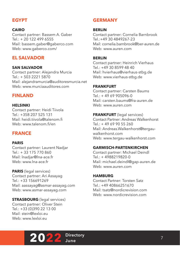# **EGYPT**

### **CAIRO**

Contact partner: Bassem A. Gaber  $T = 201224966555$ Mail: bassem.gaber@gaberco.com Web: www.gaberco.com/

# **EL SALVADOR**

#### **SAN SALVADOR**

Contact partner: Alejandra Murcia Tel.: + 503 2221 5870 Mail: alejandramurcia@auditoresmurcia.net Web: www.murciaauditores.com

## **FINLAND**

#### **HELSINKI**

Contact partner: Heidi Tiivola  $Tel: +358207525131$ Mail: heidi.tiivola@talenom.fi Web: www.talenom.fi/en

## **FRANCE**

#### **PARIS**

Contact partner: Laurent Nadjar Tel.: + 33 175 770 860 Mail: lnadjar@lna-ace.fr Web: www.lna-ace.fr

**PARIS** (legal services) Contact partner: Ari Assayag Tel.: +33 156691269 Mail: aassayag@asmar-assayag.com Web: www.asmar-assayag.com

**STRASBOURG** (legal services) Contact partner: Oliver Stein Tel.: +33 (0)390 22 13 00 Mail: stein@lexloi.eu Web: www.lexloi.eu

# **GERMANY**

#### **BERLIN**

Contact partner: Cornelia Barnbrook Tel.:+49 30 4849267-23 Mail: cornelia.barnbrook@ber-auren.de Web: www.auren.com

#### **BERLIN**

Contact partner: Heinrich Vierhaus Tel.: +49 30 8599 48 40 Mail: hvierhaus@vierhaus-stbg.de Web: www.vierhaus-stbg.de

### **FRANKFURT**

Contact partner: Carsten Baums  $Tel: +4969905096-0$ Mail: carsten.baums@fra-auren.de Web: www.auren.com

#### **FRANKFURT** (legal services)

Contact Partner: Andreas Walkenhorst  $Tel: +49699055260$ Mail: Andreas.Walkenhorst@tergauwalkenhorst.com Web: www.tergau-walkenhorst.com

#### **GARMISCH-PARTENKIRCHEN**

Contact partner: Michael Deindl  $Tel + 4988219820 - 0$ Mail: michael.deindl@gap-auren.de Web: www.auren.com

#### **HAMBURG**

Contact Partner: Torsten Satz  $Tel \cdot +4940866251670$ Mail: tsatz@nordicrevision.com Web: www.nordicrevision.com

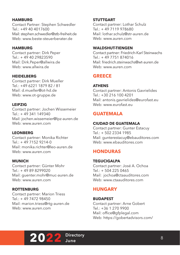## **HAMBURG**

Contact Partner: Stephen Schwedler  $Tel \cdot +49404017600$ Mail: stephen.schwedler@stb-freiheit.de Web: www.beste-steuerberater.de

### **HAMBURG**

Contact partner: Dirk Peper Tel.: + 49 40 29823590 Mail: Dirk.Peper@allwira.de Web: www.allwira.de

### **HEIDELBERG**

Contact partner: Dirk Mueller Tel.: +49 6221 1879 82 / 81 Mail: d.mueller@ot-hd.de Web: www.ot-gruppe.de

### **LEIPZIG**

Contact partner: Jochen Wissemeier Tel.: + 49 341 149340 Mail: jochen.wissemeier@lpz-auren.de Web: www.auren.com

## **LEONBERG**

Contact partner: Monika Richter  $Tel \cdot + 4971529214 - 0$ Mail: monika.richter@leo-auren.de Web: www.auren.com

## **MUNICH**

Contact partner: Günter Mohr  $Tel + 49898299020$ Mail: guenter.mohr@muc-auren.de Web: www.auren.com

#### **ROTTENBURG**

Contact partner: Marion Triess  $Tel + 49747298450$ Mail: marion.triess@rtg-auren.de Web: www.auren.com

### **STUTTGART**

Contact partner: Lothar Schulz  $Tel \cdot + 497119978680$ Mail: lothar.schulz@str-auren.de Web: www.auren.com

### **WALDSHUT-TIENGEN**

Contact partner: Friedrich-Karl Steinwachs Tel.: + 49 7751 874016 Mail: friedrich.steinwachs@wt-auren.de Web: www.auren.com

# **GREECE**

## **ATHENS**

Contact partner: Antonis Gavrielides Tel.: +30 216 100 4201 Mail: antonis.gavrielides@eurofast.eu Web: www.eurofast.eu

# **GUATEMALA**

## **CIUDAD DE GUATEMALA**

Contact partner: Gunter Estacuy Tel.: + 502 2334 1985 Mail: gunterestacuy@ebauditores.com Web: www.ebauditores.com

# **HONDURAS**

#### **TEGUCIGALPA**

Contact partner: José A. Ochoa  $Tel + 504 225 0465$ Mail: jochoa@ctaauditores.com Web: www.ctaauditores.com

# **HUNGARY**

#### **BUDAPEST**

Contact partner: Arne Gobert Tel.: +36 1 270 9900 Mail: office@gfplegal.com Web: https://gobertadvisors.com/

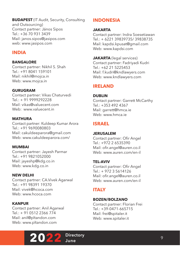**BUDAPEST** (IT Audit, Security, Consulting and Outsourcing) Contact partner: János Sipos  $Tel: +36709313439$ Mail: janos.sipos@jasipos.com web: www.jasipos.com

## **INDIA**

### **BANGALORE**

Contact partner: Nikhil S. Shah Tel.: +91 8041 159101 Mail: nikhil@mojca.in Web: www.mojca.in

### **GURUGRAM**

Contact partner: Vikas Chaturvedi Tel.: + 91 9999292228 Mail: vikas@valuecent.com Web: www.valuecent.in

#### **MATHURA**

Contact partner: Kuldeep Kumar Arora Tel.: +91 9690080803 Mail: cakuldeeparora@gmail.com Web: www.cakuldeeparora.com/

#### **MUMBAI**

Contact partner: Jayesh Parmar Tel.: +91 9821052000 Mail: jayeshp@kdg.co.in Web: www.kdg.co.in

#### **NEW DELHI**

Contact partner: CA.Vivek Agarwal Tel.: +91 98391 19370 Mail: vivek@hcoca.com Web: www.hcoca.com

## **KANPUR**

Contact partner: Anil Agarwal Tel.: + 91 0512 2366 774 Mail: anil@pltandon.com Web: www.pltandon.com



# **INDONESIA**

### **JAKARTA**

Contact partner: Indra Soesetiawan Tel.: + 6221 39839735/ 39838735 Mail: kapdsi.kpusat@gmail.com Web: www.kapdsi.com

**JAKARTA** (legal services) Contact partner: Fadriyadi Kudri Tel.: +62 21 5225453 Mail: f.kudri@kndlawyers.com Web: www.kndlawyers.com

# **IRELAND**

### **DUBLIN**

Contact partner: Garrett McCarthy Tel.: +353 492 4367 Mail: garrett@hmca.ie Web: www.hmca.ie

# **ISRAEL**

#### **JERUSALEM**

Contact partner: Ofir Angel  $T = 1 \cdot 19722365390$ Mail: ofir.angel@auren.co.il Web: www.auren.com/en-il

## **TEL-AVIV**

Contact partner: Ofir Angel  $T = \cdot + 97235614126$ Mail: ofir.angel@auren.co.il Web: www.auren.com/en-il

# **ITALY**

#### **BOZEN/BOLZANO**

Contact partner: Florian Frei Tel.: +39-0471-665715 Mail: frei@spitaler.it Web: www.spitaler.it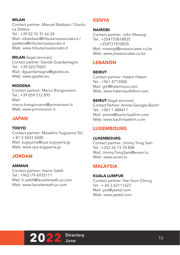## **MILAN**

Contact partner: Manuel Baldazzi / Gianluca Zattera  $Tel: +390276316634$ Mail: mbaldazzi@tributarioassociato.it / gzattera@tributarioassociato.it Web: www.tributarioassociato.it

**MILAN** (legal services) Contact partner: Davide Guardamagna Tel.: +39 02579601 Mail: dguardamagna@gealex.eu Web: www.gealex.eu

#### **MODENA**

Contact partner: Marco Bongiovanni Tel.: +39 059 212 895 Mail: marco.bongiovanni@prmrevisori.it Web: www.prmrevisori.it

# **JAPAN**

### **TOKYO**

Contact partner: Masahiro Sugiyama Tel.: + 81 3 3433 3600 Mail: sugiyama@cpa-sugiyama.jp Web: www.cpa-sugiyama.jp

## **JORDAN**

## **AMMAN**

Contact partner: Hazim Saleh Tel.: +962-79-6935111 Mail: h.saleh@laurelwreath-jo.com Web: www.laurelwreath-jo.com

## **KENYA**

### **NAIROBI**

Contact partner: John Mwangi  $Tel \cdot +254733818835$  +254721818835 Mail: mwangi@jmassociates.co.ke Web: www.jmassociates.co.ke

# **LEBANON**

## **BEIRUT** Contact partner: Hatem Hatem

Tel.: +961 4713040 Mail: gm@hatemcpa.com Web: www.hatemauditfirm.com

## **BEIRUT** (legal services)

Contact Partner: Amine Georges Bachir Tel.: +961 1 488411 Mail: amine@bachirlawfirm.com Web: www.bachirlawfirm.com

# **LUXEMBOURG**

#### **LUXEMBOURG**

Contact partner: Jimmy Tong Sam Tel.: +352 26 73 78 808 Mail: Jimmy.TongSam@auren.lu Web: www.auren.lu

# **MALAYSIA**

**KUALA LUMPUR** Contact partner: Yee Yoon Chong Tel.: + 60 3 62111627 Mail: yee@yeetsl.com Web: www.yeetsl.com

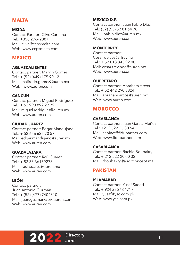# **MALTA**

#### **MSIDA**

Contact Partner: Clive Caruana  $Tel: +356 27642887$ Mail: clive@ccpsmalta.com Web: www.ccpsmalta.com

## **MEXICO**

#### **AGUASCALIENTES**

Contact partner: Marvin Gómez Tel.: + (52) (449) 175 90 12 Mail: malfredo.gomez@auren.mx Web: www.auren.com

#### **CANCUN**

Contact partner: Miguel Rodríguez Tel.: + 52 998 892 22 79 Mail: miguel.rodriguez@auren.mx Web: www.auren.com

#### **CIUDAD JUAREZ**

Contact partner: Edgar Mandujano Tel.: + 52 656 625 70 57 Mail: edgar.mandujano@auren.mx Web: www.auren.com

#### **GUADALAJARA**

Contact partner: Raúl Suarez  $Tel \cdot + 5233336169278$ Mail: raul.suarez@auren.mx Web: www.auren.com

## **LEÓN**

Contact partner: Juan Antonio Guzmán Tel.: + (52) (477) 7404310 Mail: juan.guzman@bjx.auren.com Web: www.auren.com

#### **MEXICO D.F.**

Contact partner: Juan Pablo Díaz Tel.: (52) (55) 52 81 64 78 Mail: jpablo.diaz@auren.mx Web: www.auren.com

#### **MONTERREY**

Contact partner: César de Jesús Treviño Tel.: + 52 818 343 92 00 Mail: cesar.trevinoe@auren.mx Web: www.auren.com

#### **QUERETARO**

Contact partner: Abraham Arcos Tel.: + 52 442 290 3824 Mail: abraham.arcos@auren.mx Web: www.auren.com

# **MOROCCO**

#### **CASABLANCA**

Contact partner: Juan García Muñoz Tel.: +212 522 25 80 54 Mail: cabinet@fidupartner.com Web: www.fidupartner.com

#### **CASABLANCA**

Contact partner: Rachid Boubakry  $Tel \cdot + 212522200032$ Mail: rboubakry@auditconcept.ma

## **PAKISTAN**

#### **ISLAMABAD**

Contact partner: Yusaf Saeed Tel.: + 924 2357 64717 Mail: yusaf@ysc.com.pk Web: www.ysc.com.pk

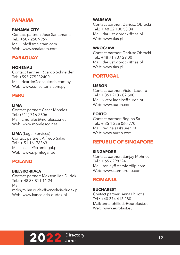# **PANAMA**

#### **PANAMA CITY**

Contact partner: José Santamaria  $T = 1 \cdot 15072609969$ Mail: info@smalatam.com Web: www.smalatam.com

## **PARAGUAY**

#### **HOHENAU**

Contact Partner: Ricardo Schneider Tel: +595 775232400 Mail: ricardo@consultoria.com.py Web: www.consultoria.com.py

## **PERU**

#### **LIMA**

Contact partner: César Morales Tel.: (511) 716-2606 Mail: cmorales@moralesco.net Web: www.moralesco.net

**LIMA** (Legal Services) Contact partner: Alfredo Salas  $Tel \cdot + 51 16176363$ Mail: asalas@srpmlegal.pe Web: www.srpmlegal.pe

## **POLAND**

#### **BIELSKO-BIAŁA**

Contact partner: Maksymilian Dudek  $Tel: + 48338111124$ Mail: maksymilian.dudek@kancelaria-dudek.pl Web: www.kancelaria-dudek.pl

#### **WARSAW**

Contact partner: Dariusz Obrocki Tel.: + 48 22 100 53 04 Mail: dariusz.obrocki@tias.pl Web: www.tias.pl

#### **WROCŁAW**

Contact partner: Dariusz Obrocki Tel.: +48 71 737 29 00 Mail: dariusz.obrocki@tias.pl Web: www.tias.pl

# **PORTUGAL**

#### **LISBON**

Contact partner: Victor Ladeiro Tel.: + 351 213 602 500 Mail: victor.ladeiro@auren.pt Web: www.auren.com

### **PORTO**

Contact partner: Regina Sa  $Tel: + 35 1 226 060 770$ Mail: regina.sa@auren.pt Web: www.auren.com

## **REPUBLIC OF SINGAPORE**

#### **SINGAPORE**

Contact partner: Sanjay Mohnot Tel.: + 65 62982241 Mail: sanjay@stamfordllp.com Web: www.stamfordllp.com

## **ROMANIA**

#### **BUCHAREST**

Contact partner: Anna Philiotis Tel.: +40 374 413 280 Mail: anna.philiotis@eurofast.eu Web: www.eurofast.eu

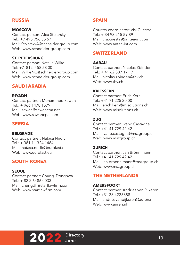# **RUSSIA**

#### **MOSCOW**

Contact person: Alex Stolarsky Tel.: +7 495 956 55 57 Mail: StolarskyA@schneider-group.com Web: www.schneider-group.com

#### **ST. PETERSBURG**

Contact person: Natalia Wilke Tel: +7 812 458 58 00 Mail: WilkeNG@schneider-group.com Web: www.schneider-group.com

## **SAUDI ARABIA**

#### **RIYADH**

Contact partner: Mohammed Sawan Tel.: + 966 1478 1579 Mail: sawan@sawancpa.net Web: www.sawancpa.com

# **SERBIA**

#### **BELGRADE**

Contact partner: Natasa Nedic  $T = 1 \cdot 1381113241484$ Mail: natasa nedic@eurofast.eu Web: www.eurofast.eu

# **SOUTH KOREA**

## **SEOUL**

Contact partner: Chung Donghwa Tel.: + 82 2 6486 0033 Mail: chungdh@startlawfirm.com Web: www.startlawfirm.com

## **SPAIN**

Country coordinator: Visi Cuestas  $Tel + 34932155989$ Mail: visi.cuestas@antea-int.com Web: www.antea-int.com

## **SWITZERLAND**

#### **AARAU**

Contact partner: Nicolas Zbinden  $Tel \cdot + 41$  62 837 17 17 Mail: nicolas.zbinden@thv.ch Web: www.thv.ch

#### **KRIESSERN**

Contact partner: Erich Kern  $Tel \cdot +41$  71 225 20 00 Mail: erich kern@misolutions.ch Web: www.misolutions.ch

### **ZUG**

Contact partner: Ivano Castagna Tel.: +41 41 729 42 42 Mail: ivano.castagna@mszgroup.ch Web: www.mszgroup.ch

#### **ZURICH**

Contact partner: Jan Brönnimann  $Tel \cdot +41$  41 729 42 42 Mail: jan.broennimann@mszgroup.ch Web: www.mszgroup.ch

## **THE NETHERLANDS**

#### **AMERSFOORT**

Contact partner: Andries van Pijkeren Tel.: +31 33 4225888 Mail: andriesvanpijkeren@auren.nl Web: www.auren.nl

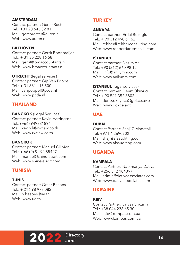#### **AMSTERDAM**

Contact partner: Gerco Recter Tel.: +31 20 645 82 81 Mail: gercorecter@auren.nl Web: www.auren.nl

#### **BILTHOVEN**

Contact partner: Gerrit Boonzaaijer Tel.: + 31 30 228 16 58 Mail: gerrit@bmaccountants.nl Web: www.bmaccountants.nl

**UTRECHT** (legal services) Contact partner: Gijs Van Poppel Tel.: + 31 881 115 500 Mail: vanpoppel@pcda.nl Web: www.pcda.nl

## **THAILAND**

**BANGKOK** (Legal Services) Contact partner: Kevin Harrington Tel.: (+66) 949381894 Mail: kevin.h@rwtlaw.co.th Web: www.rwtlaw.co.th

#### **BANGKOK**

Contact partner: Manuel Ollivier Tel.: + 66 (0) 8 192 85427 Mail: manuel@shine-audit.com Web: www.shine-audit.com

## **TUNISIA**

#### **TUNIS**

Contact partner: Omar Besbes  $Tel: + 21698973082$ Mail: o.besbes@ua.tn Web: www.ua.tn

## **TURKEY**

### **ANKARA**

Contact partner: Erdal Bozoglu  $Tel: + 90,312,490,61,62$ Mail: rehber@rehberconsulting.com Web: www.rehberdanismanlik.com

#### **ISTANBUL**

Contact partner: Nazim Anil Tel.: +90 (212) 660 98 12 Mail: info@anilymm.com Web: www.anilymm.com

**ISTANBUL** (legal services) Contact partner: Deniz Okuyucu Tel.: + 90 541 352 8802 Mail: deniz.okuyucu@gokce.av.tr Web: www.gokce.av.tr

## **UAE**

**DUBAI** Contact Partner: Shaji C Madathil Tel: +971 4 2690702 Mail: shaji@afsauditing.com Web: www.afsauditing.com

## **UGANDA**

#### **KAMPALA**

Contact Partner: Nabimanya Dativa  $Tel \cdot +256312104097$ Mail: admin@dativaassociates.com Web: www.dativaassociates.com

## **UKRAINE**

#### **KIEV**

Contact Partner: Larysa Shkurka Tel.: +38 044 238 65 30 Mail: info@kompas.com.ua Web: www.kompas.com.ua

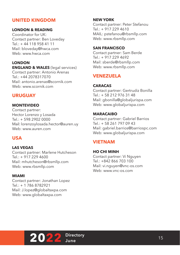# **UNITED KINGDOM**

#### **LONDON & READING**

Coordinator for UK: Contact partner: Ben Loveday Tel.: + 44 118 958 41 11 Mail: bloveday@hwca.com Web: www.hwca.com

## **LONDON**

**ENGLAND & WALES** (legal services) Contact partner: Antonio Arenas Tel.: +44 2078317070 Mail: antonio.arenas@scornik.com Web: www.scornik.com

## **URUGUAY**

#### **MONTEVIDEO**

Contact partner: Hector Lorenzo y Losada Tel.: + 598 2902 0000 Mail: lorenzoylosada.hector@auren.uy Web: www.auren.com

## **USA**

#### **LAS VEGAS**

Contact partner: Marlene Hutcheson  $Tel + 917 229 4600$ Mail: mhutcheson@rbsmllp.com Web: www.rbsmllp.com

#### **MIAMI**

Contact partner: Jonathan Lopez  $Tel \cdot + 1$  786 8782921 Mail: J.lopez@globaltaxpa.com Web: www.globaltaxpa.com

**NEW YORK** Contact partner: Peter Stefanou  $Tel: + 9172294610$ MAIL: pstefanou@rbsmllp.com Web: www.rbsmllp.com

#### **SAN FRANCISCO**

Contact partner: Sam Berde Tel.: + 917 229 4692 Mail: sberde@rbsmllp.com Web: www.rbsmllp.com

## **VENEZUELA**

#### **CARACAS**

Contact partner: Gertrudiz Bonilla Tel.: + 58 212 976 31 48 Mail: gbonilla@globaljurispa.com Web: www.globaljurispa.com

#### **MARACAIBO**

Contact partner: Gabriel Barrios Tel.: + 58 261 797 09 43 Mail: gabriel.barrios@barriospc.com Web: www.globaljurispa.com

## **VIETNAM**

**HO CHI MINH** Contact partner: Vi Nguyen Tel.: +842 866 703 100 Mail: vi.nguyen@vnc-os.com Web: www.vnc-os.com